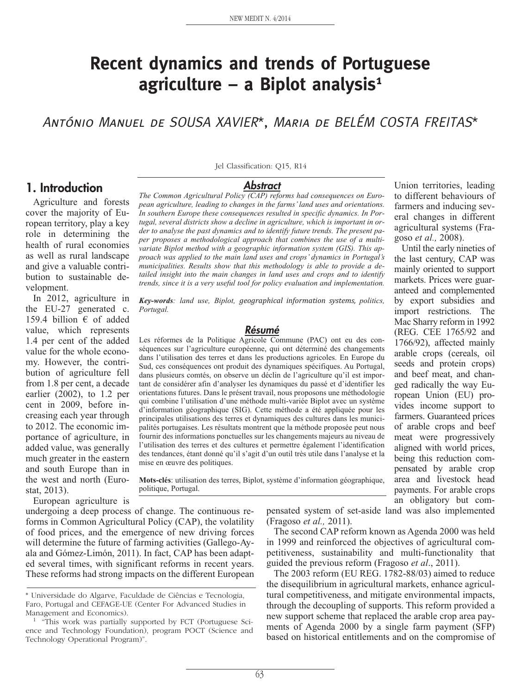# **Recent dynamics and trends of Portuguese agriculture – a Biplot analysis1**

António Manuel de SOUSA XAVIER\*, Maria de BELÉM COSTA FREITAS\*

#### **1. Introduction**

Agriculture and forests cover the majority of European territory, play a key role in determining the health of rural economies as well as rural landscape and give a valuable contribution to sustainable development.

In 2012, agriculture in the EU-27 generated c. 159.4 billion  $\epsilon$  of added value, which represents 1.4 per cent of the added value for the whole economy. However, the contribution of agriculture fell from 1.8 per cent, a decade earlier (2002), to 1.2 per cent in 2009, before increasing each year through to 2012. The economic importance of agriculture, in added value, was generally much greater in the eastern and south Europe than in the west and north (Eurostat, 2013).

European agriculture is

Jel Classification: Q15, R14

#### **Abstract**

*The Common Agricultural Policy (CAP) reforms had consequences on European agriculture, leading to changes in the farms' land uses and orientations. In southern Europe these consequences resulted in specific dynamics. In Portugal, several districts show a decline in agriculture, which is important in order to analyse the past dynamics and to identify future trends. The present paper proposes a methodological approach that combines the use of a multivariate Biplot method with a geographic information system (GIS). This approach was applied to the main land uses and crops' dynamics in Portugal's municipalities. Results show that this methodology is able to provide a detailed insight into the main changes in land uses and crops and to identify trends, since it is a very useful tool for policy evaluation and implementation.*

*Key-words: land use, Biplot, geographical information systems, politics, Portugal.*

#### **Résumé**

Les réformes de la Politique Agricole Commune (PAC) ont eu des conséquences sur l'agriculture européenne, qui ont déterminé des changements dans l'utilisation des terres et dans les productions agricoles. En Europe du Sud, ces conséquences ont produit des dynamiques spécifiques. Au Portugal, dans plusieurs comtés, on observe un déclin de l'agriculture qu'il est important de considérer afin d'analyser les dynamiques du passé et d'identifier les orientations futures. Dans le présent travail, nous proposons une méthodologie qui combine l'utilisation d'une méthode multi-variée Biplot avec un système d'information géographique (SIG). Cette méthode a été appliquée pour les principales utilisations des terres et dynamiques des cultures dans les municipalités portugaises. Les résultats montrent que la méthode proposée peut nous fournir des informations ponctuelles sur les changements majeurs au niveau de l'utilisation des terres et des cultures et permettre également l'identification des tendances, étant donné qu'il s'agit d'un outil très utile dans l'analyse et la mise en œuvre des politiques.

**Mots-clés**: utilisation des terres, Biplot, système d'information géographique, politique, Portugal.

undergoing a deep process of change. The continuous reforms in Common Agricultural Policy (CAP), the volatility of food prices, and the emergence of new driving forces will determine the future of farming activities (Gallego-Ayala and Gómez-Limón, 2011). In fact, CAP has been adapted several times, with significant reforms in recent years. These reforms had strong impacts on the different European

pensated system of set-aside land was also implemented (Fragoso *et al.,* 2011).

The second CAP reform known as Agenda 2000 was held in 1999 and reinforced the objectives of agricultural competitiveness, sustainability and multi-functionality that guided the previous reform (Fragoso *et al*., 2011).

The 2003 reform (EU REG. 1782-88/03) aimed to reduce the disequilibrium in agricultural markets, enhance agricultural competitiveness, and mitigate environmental impacts, through the decoupling of supports. This reform provided a new support scheme that replaced the arable crop area payments of Agenda 2000 by a single farm payment (SFP) based on historical entitlements and on the compromise of

Union territories, leading to different behaviours of farmers and inducing several changes in different agricultural systems (Fragoso *et al.,* 2008). Until the early nineties of

the last century, CAP was mainly oriented to support markets. Prices were guaranteed and complemented by export subsidies and import restrictions. The Mac Sharry reform in 1992 (REG. CEE 1765/92 and 1766/92), affected mainly arable crops (cereals, oil seeds and protein crops) and beef meat, and changed radically the way European Union (EU) provides income support to farmers. Guaranteed prices of arable crops and beef meat were progressively aligned with world prices, being this reduction compensated by arable crop area and livestock head payments. For arable crops an obligatory but com-

<sup>\*</sup> Universidade do Algarve, Faculdade de Ciências e Tecnologia, Faro, Portugal and CEFAGE-UE (Center For Advanced Studies in Management and Economics).

<sup>1 &</sup>quot;This work was partially supported by FCT (Portuguese Science and Technology Foundation), program POCT (Science and Technology Operational Program)".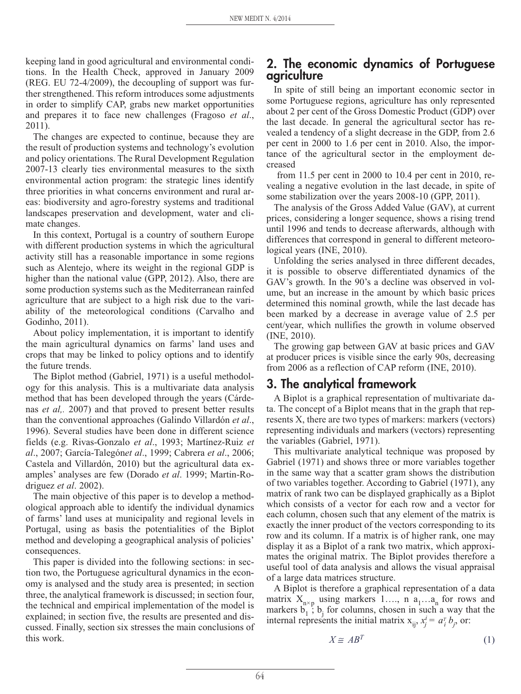keeping land in good agricultural and environmental conditions. In the Health Check, approved in January 2009 (REG. EU 72-4/2009), the decoupling of support was further strengthened. This reform introduces some adjustments in order to simplify CAP, grabs new market opportunities and prepares it to face new challenges (Fragoso *et al*., 2011).

The changes are expected to continue, because they are the result of production systems and technology's evolution and policy orientations. The Rural Development Regulation 2007-13 clearly ties environmental measures to the sixth environmental action program: the strategic lines identify three priorities in what concerns environment and rural areas: biodiversity and agro-forestry systems and traditional landscapes preservation and development, water and climate changes.

In this context, Portugal is a country of southern Europe with different production systems in which the agricultural activity still has a reasonable importance in some regions such as Alentejo, where its weight in the regional GDP is higher than the national value (GPP, 2012). Also, there are some production systems such as the Mediterranean rainfed agriculture that are subject to a high risk due to the variability of the meteorological conditions (Carvalho and Godinho, 2011).

About policy implementation, it is important to identify the main agricultural dynamics on farms' land uses and crops that may be linked to policy options and to identify the future trends.

The Biplot method (Gabriel, 1971) is a useful methodology for this analysis. This is a multivariate data analysis method that has been developed through the years (Cárdenas *et al,.* 2007) and that proved to present better results than the conventional approaches (Galindo Villardón *et al*., 1996). Several studies have been done in different science fields (e.g. Rivas-Gonzalo *et al*., 1993; Martínez-Ruiz *et al*., 2007; García-Talegón*et al*., 1999; Cabrera *et al*., 2006; Castela and Villardón, 2010) but the agricultural data examples' analyses are few (Dorado *et al*. 1999; Martin-Rodriguez *et al*. 2002).

The main objective of this paper is to develop a methodological approach able to identify the individual dynamics of farms' land uses at municipality and regional levels in Portugal, using as basis the potentialities of the Biplot method and developing a geographical analysis of policies' consequences.

This paper is divided into the following sections: in section two, the Portuguese agricultural dynamics in the economy is analysed and the study area is presented; in section three, the analytical framework is discussed; in section four, the technical and empirical implementation of the model is explained; in section five, the results are presented and discussed. Finally, section six stresses the main conclusions of this work.

#### **2. The economic dynamics of Portuguese agriculture**

In spite of still being an important economic sector in some Portuguese regions, agriculture has only represented about 2 per cent of the Gross Domestic Product (GDP) over the last decade. In general the agricultural sector has revealed a tendency of a slight decrease in the GDP, from 2.6 per cent in 2000 to 1.6 per cent in 2010. Also, the importance of the agricultural sector in the employment decreased

from 11.5 per cent in 2000 to 10.4 per cent in 2010, revealing a negative evolution in the last decade, in spite of some stabilization over the years 2008-10 (GPP, 2011).

The analysis of the Gross Added Value (GAV), at current prices, considering a longer sequence, shows a rising trend until 1996 and tends to decrease afterwards, although with differences that correspond in general to different meteorological years (INE, 2010).

Unfolding the series analysed in three different decades, it is possible to observe differentiated dynamics of the GAV's growth. In the 90's a decline was observed in volume, but an increase in the amount by which basic prices determined this nominal growth, while the last decade has been marked by a decrease in average value of 2.5 per cent/year, which nullifies the growth in volume observed (INE, 2010).

The growing gap between GAV at basic prices and GAV at producer prices is visible since the early 90s, decreasing from 2006 as a reflection of CAP reform (INE, 2010).

# **3. The analytical framework**

A Biplot is a graphical representation of multivariate data. The concept of a Biplot means that in the graph that represents X, there are two types of markers: markers (vectors) representing individuals and markers (vectors) representing the variables (Gabriel, 1971).

This multivariate analytical technique was proposed by Gabriel (1971) and shows three or more variables together in the same way that a scatter gram shows the distribution of two variables together. According to Gabriel (1971), any matrix of rank two can be displayed graphically as a Biplot which consists of a vector for each row and a vector for each column, chosen such that any element of the matrix is exactly the inner product of the vectors corresponding to its row and its column. If a matrix is of higher rank, one may display it as a Biplot of a rank two matrix, which approximates the original matrix. The Biplot provides therefore a useful tool of data analysis and allows the visual appraisal of a large data matrices structure.

A Biplot is therefore a graphical representation of a data matrix  $X_{n\times p}$  using markers 1..., n a<sub>1</sub>...a<sub>n</sub> for rows and markers  $b_1$ ;  $b_j$  for columns, chosen in such a way that the internal represents the initial matrix  $x_{ij}$ ,  $x_j^i = a_i^r b_j$ , or:

$$
X \cong AB^T \tag{1}
$$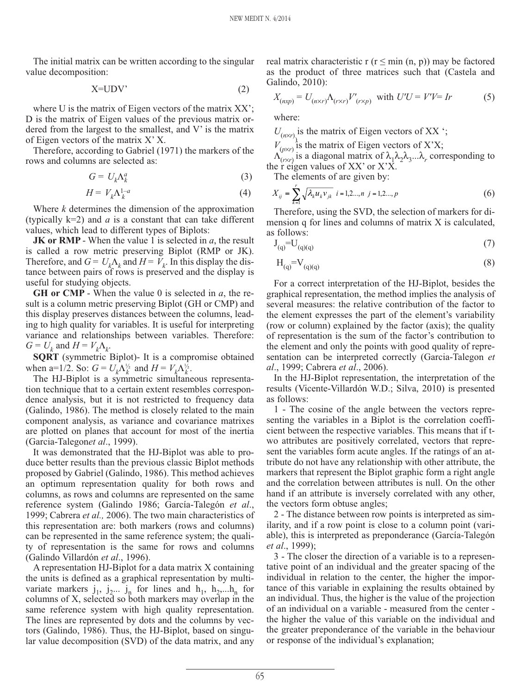The initial matrix can be written according to the singular value decomposition:

$$
X = UDV'
$$
 (2)

where U is the matrix of Eigen vectors of the matrix XX'; D is the matrix of Eigen values of the previous matrix ordered from the largest to the smallest, and V' is the matrix of Eigen vectors of the matrix X' X.

Therefore, according to Gabriel (1971) the markers of the rows and columns are selected as:

$$
G = U_k \Lambda_k^a \tag{3}
$$

$$
H = V_k \Lambda_k^{1-a} \tag{4}
$$

Where *k* determines the dimension of the approximation (typically  $k=2$ ) and *a* is a constant that can take different values, which lead to different types of Biplots:

**JK or RMP** - When the value 1 is selected in *a*, the result is called a row metric preserving Biplot (RMP or JK). Therefore, and  $G = U_k \Lambda_k$  and  $H = V_k$ . In this display the distance between pairs of rows is preserved and the display is useful for studying objects.

**GH or CMP** - When the value 0 is selected in *a*, the result is a column metric preserving Biplot (GH or CMP) and this display preserves distances between the columns, leading to high quality for variables. It is useful for interpreting variance and relationships between variables. Therefore:  $G = U_k$  and  $H = V_k \Lambda_k$ .

**SQRT** (symmetric Biplot)- It is a compromise obtained when a=1/2. So:  $G = U_k \Lambda_k^{1/2}$  and  $H = V_k \Lambda_k^{1/2}$ .

The HJ-Biplot is a symmetric simultaneous representation technique that to a certain extent resembles correspondence analysis, but it is not restricted to frequency data (Galindo, 1986). The method is closely related to the main component analysis, as variance and covariance matrixes are plotted on planes that account for most of the inertia (Garcia-Talegon*et al*., 1999).

It was demonstrated that the HJ-Biplot was able to produce better results than the previous classic Biplot methods proposed by Gabriel (Galindo, 1986). This method achieves an optimum representation quality for both rows and columns, as rows and columns are represented on the same reference system (Galindo 1986; García-Talegón *et al*., 1999; Cabrera *et al.,* 2006). The two main characteristics of this representation are: both markers (rows and columns) can be represented in the same reference system; the quality of representation is the same for rows and columns (Galindo Villardón *et al*., 1996).

A representation HJ-Biplot for a data matrix X containing the units is defined as a graphical representation by multivariate markers  $j_1$ ,  $j_2$ ...  $j_n$  for lines and  $h_1$ ,  $h_2$ ,... $h_n$  for columns of X, selected so both markers may overlap in the same reference system with high quality representation. The lines are represented by dots and the columns by vectors (Galindo, 1986). Thus, the HJ-Biplot, based on singular value decomposition (SVD) of the data matrix, and any real matrix characteristic r  $(r \leq min(n, p))$  may be factored as the product of three matrices such that (Castela and Galindo, 2010):

$$
X_{(n \times p)} = U_{(n \times r)} \Lambda_{(r \times r)} V'_{(r \times p)}
$$
 with  $U'U = V'V = Ir$  (5)

where:

 $U_{(n \times r)}$  is the matrix of Eigen vectors of XX ';

 $V^{(0)}_{(p\times r)}$  is the matrix of Eigen vectors of X'X;

 $\Lambda_{(r\times r)}^{(r\times r)}$  is a diagonal matrix of  $\lambda_1\lambda_2\lambda_3...\lambda_r$  corresponding to the  $\widetilde{r}$  eigen values of XX' or X'X.

The elements of are given by:

$$
X_{ij} = \sum_{k=1}^{r} \sqrt{\lambda_k u_k v_{jk}} \quad i = 1, 2..., n \quad j = 1, 2..., p \tag{6}
$$

Therefore, using the SVD, the selection of markers for dimension q for lines and columns of matrix X is calculated, as follows:

$$
J_{(q)} = U_{(q)(q)} \tag{7}
$$

$$
H_{(q)} = V_{(q)(q)} \tag{8}
$$

For a correct interpretation of the HJ-Biplot, besides the graphical representation, the method implies the analysis of several measures: the relative contribution of the factor to the element expresses the part of the element's variability (row or column) explained by the factor (axis); the quality of representation is the sum of the factor's contribution to the element and only the points with good quality of representation can be interpreted correctly (Garcia-Talegon *et al*., 1999; Cabrera *et al*., 2006).

In the HJ-Biplot representation, the interpretation of the results (Vicente-Villardón W.D.; Silva, 2010) is presented as follows:

1 - The cosine of the angle between the vectors representing the variables in a Biplot is the correlation coefficient between the respective variables. This means that if two attributes are positively correlated, vectors that represent the variables form acute angles. If the ratings of an attribute do not have any relationship with other attribute, the markers that represent the Biplot graphic form a right angle and the correlation between attributes is null. On the other hand if an attribute is inversely correlated with any other, the vectors form obtuse angles;

2 - The distance between row points is interpreted as similarity, and if a row point is close to a column point (variable), this is interpreted as preponderance (García-Talegón *et al*., 1999);

3 - The closer the direction of a variable is to a representative point of an individual and the greater spacing of the individual in relation to the center, the higher the importance of this variable in explaining the results obtained by an individual. Thus, the higher is the value of the projection of an individual on a variable - measured from the center the higher the value of this variable on the individual and the greater preponderance of the variable in the behaviour or response of the individual's explanation;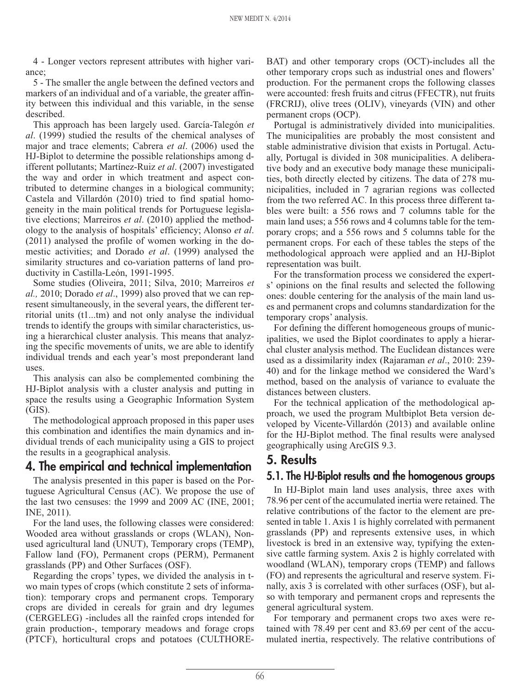4 - Longer vectors represent attributes with higher variance;

5 - The smaller the angle between the defined vectors and markers of an individual and of a variable, the greater affinity between this individual and this variable, in the sense described.

This approach has been largely used. García-Talegón *et al*. (1999) studied the results of the chemical analyses of major and trace elements; Cabrera *et al*. (2006) used the HJ-Biplot to determine the possible relationships among different pollutants; Martínez-Ruiz *et al*. (2007) investigated the way and order in which treatment and aspect contributed to determine changes in a biological community; Castela and Villardón (2010) tried to find spatial homogeneity in the main political trends for Portuguese legislative elections; Marreiros *et al*. (2010) applied the methodology to the analysis of hospitals' efficiency; Alonso *et al*. (2011) analysed the profile of women working in the domestic activities; and Dorado *et al*. (1999) analysed the similarity structures and co-variation patterns of land productivity in Castilla-León, 1991-1995.

Some studies (Oliveira, 2011; Silva, 2010; Marreiros *et al.,* 2010; Dorado *et al*., 1999) also proved that we can represent simultaneously, in the several years, the different territorial units (t1...tm) and not only analyse the individual trends to identify the groups with similar characteristics, using a hierarchical cluster analysis. This means that analyzing the specific movements of units, we are able to identify individual trends and each year's most preponderant land uses.

This analysis can also be complemented combining the HJ-Biplot analysis with a cluster analysis and putting in space the results using a Geographic Information System (GIS).

The methodological approach proposed in this paper uses this combination and identifies the main dynamics and individual trends of each municipality using a GIS to project the results in a geographical analysis.

# **4. The empirical and technical implementation**

The analysis presented in this paper is based on the Portuguese Agricultural Census (AC). We propose the use of the last two censuses: the 1999 and 2009 AC (INE, 2001; INE, 2011).

For the land uses, the following classes were considered: Wooded area without grasslands or crops (WLAN), Nonused agricultural land (UNUT), Temporary crops (TEMP), Fallow land (FO), Permanent crops (PERM), Permanent grasslands (PP) and Other Surfaces (OSF).

Regarding the crops' types, we divided the analysis in two main types of crops (which constitute 2 sets of information): temporary crops and permanent crops. Temporary crops are divided in cereals for grain and dry legumes (CERGELEG) -includes all the rainfed crops intended for grain production-, temporary meadows and forage crops (PTCF), horticultural crops and potatoes (CULTHORE- BAT) and other temporary crops (OCT)-includes all the other temporary crops such as industrial ones and flowers' production. For the permanent crops the following classes were accounted: fresh fruits and citrus (FFECTR), nut fruits (FRCRIJ), olive trees (OLIV), vineyards (VIN) and other permanent crops (OCP).

Portugal is administratively divided into municipalities. The municipalities are probably the most consistent and stable administrative division that exists in Portugal. Actually, Portugal is divided in 308 municipalities. A deliberative body and an executive body manage these municipalities, both directly elected by citizens. The data of 278 municipalities, included in 7 agrarian regions was collected from the two referred AC. In this process three different tables were built: a 556 rows and 7 columns table for the main land uses; a 556 rows and 4 columns table for the temporary crops; and a 556 rows and 5 columns table for the permanent crops. For each of these tables the steps of the methodological approach were applied and an HJ-Biplot representation was built.

For the transformation process we considered the experts' opinions on the final results and selected the following ones: double centering for the analysis of the main land uses and permanent crops and columns standardization for the temporary crops' analysis.

For defining the different homogeneous groups of municipalities, we used the Biplot coordinates to apply a hierarchal cluster analysis method. The Euclidean distances were used as a dissimilarity index (Rajaraman *et al*., 2010: 239- 40) and for the linkage method we considered the Ward's method, based on the analysis of variance to evaluate the distances between clusters.

For the technical application of the methodological approach, we used the program Multbiplot Beta version developed by Vicente-Villardón (2013) and available online for the HJ-Biplot method. The final results were analysed geographically using ArcGIS 9.3.

# **5. Results**

# **5.1. The HJ-Biplot results and the homogenous groups**

In HJ-Biplot main land uses analysis, three axes with 78.96 per cent of the accumulated inertia were retained. The relative contributions of the factor to the element are presented in table 1. Axis 1 is highly correlated with permanent grasslands (PP) and represents extensive uses, in which livestock is bred in an extensive way, typifying the extensive cattle farming system. Axis 2 is highly correlated with woodland (WLAN), temporary crops (TEMP) and fallows (FO) and represents the agricultural and reserve system. Finally, axis 3 is correlated with other surfaces (OSF), but also with temporary and permanent crops and represents the general agricultural system.

For temporary and permanent crops two axes were retained with 78.49 per cent and 83.69 per cent of the accumulated inertia, respectively. The relative contributions of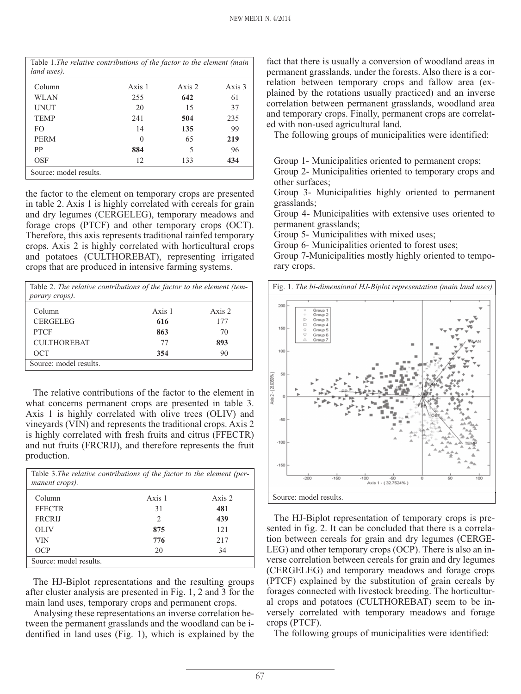| Table 1. The relative contributions of the factor to the element (main<br>land uses). |        |          |        |
|---------------------------------------------------------------------------------------|--------|----------|--------|
| Column                                                                                | Axis 1 | Axis $2$ | Axis 3 |
| <b>WLAN</b>                                                                           | 255    | 642      | 61     |
| UNUT                                                                                  | 20     | 15       | 37     |
| <b>TEMP</b>                                                                           | 241    | 504      | 235    |
| FO.                                                                                   | 14     | 135      | 99     |
| <b>PERM</b>                                                                           | 0      | 65       | 219    |
| PP                                                                                    | 884    | 5        | 96     |
| OSF                                                                                   | 12     | 133      | 434    |
| Source: model results.                                                                |        |          |        |

the factor to the element on temporary crops are presented in table 2. Axis 1 is highly correlated with cereals for grain and dry legumes (CERGELEG), temporary meadows and forage crops (PTCF) and other temporary crops (OCT). Therefore, this axis represents traditional rainfed temporary crops. Axis 2 is highly correlated with horticultural crops and potatoes (CULTHOREBAT), representing irrigated crops that are produced in intensive farming systems.

| Table 2. The relative contributions of the factor to the element (tem-<br>porary crops). |        |        |
|------------------------------------------------------------------------------------------|--------|--------|
| Column                                                                                   | Axis 1 | Axis 2 |
| <b>CERGELEG</b>                                                                          | 616    | 177    |
| <b>PTCF</b>                                                                              | 863    | 70     |
| <b>CULTHOREBAT</b>                                                                       | 77     | 893    |
| OCT                                                                                      | 354    | 90     |
| Source: model results.                                                                   |        |        |

The relative contributions of the factor to the element in what concerns permanent crops are presented in table 3. Axis 1 is highly correlated with olive trees (OLIV) and vineyards (VIN) and represents the traditional crops. Axis 2 is highly correlated with fresh fruits and citrus (FFECTR) and nut fruits (FRCRIJ), and therefore represents the fruit production.

| manent crops).         | Table 3. The relative contributions of the factor to the element (per- |          |
|------------------------|------------------------------------------------------------------------|----------|
| Column                 | Axis 1                                                                 | Axis $2$ |
| <b>FFECTR</b>          | 31                                                                     | 481      |
| <b>FRCRIJ</b>          | 2                                                                      | 439      |
| <b>OLIV</b>            | 875                                                                    | 121      |
| <b>VIN</b>             | 776                                                                    | 217      |
| OCP                    | 20                                                                     | 34       |
| Source: model results. |                                                                        |          |

The HJ-Biplot representations and the resulting groups after cluster analysis are presented in Fig. 1, 2 and 3 for the main land uses, temporary crops and permanent crops.

Analysing these representations an inverse correlation between the permanent grasslands and the woodland can be identified in land uses (Fig. 1), which is explained by the

fact that there is usually a conversion of woodland areas in permanent grasslands, under the forests. Also there is a correlation between temporary crops and fallow area (explained by the rotations usually practiced) and an inverse correlation between permanent grasslands, woodland area and temporary crops. Finally, permanent crops are correlated with non-used agricultural land.

The following groups of municipalities were identified:

Group 1- Municipalities oriented to permanent crops;

Group 2- Municipalities oriented to temporary crops and other surfaces;

Group 3- Municipalities highly oriented to permanent grasslands;

Group 4- Municipalities with extensive uses oriented to permanent grasslands;

Group 5- Municipalities with mixed uses;

Group 6- Municipalities oriented to forest uses;

Group 7-Municipalities mostly highly oriented to temporary crops.



The HJ-Biplot representation of temporary crops is presented in fig. 2. It can be concluded that there is a correlation between cereals for grain and dry legumes (CERGE-LEG) and other temporary crops (OCP). There is also an inverse correlation between cereals for grain and dry legumes (CERGELEG) and temporary meadows and forage crops (PTCF) explained by the substitution of grain cereals by forages connected with livestock breeding. The horticultural crops and potatoes (CULTHOREBAT) seem to be inversely correlated with temporary meadows and forage crops (PTCF).

The following groups of municipalities were identified: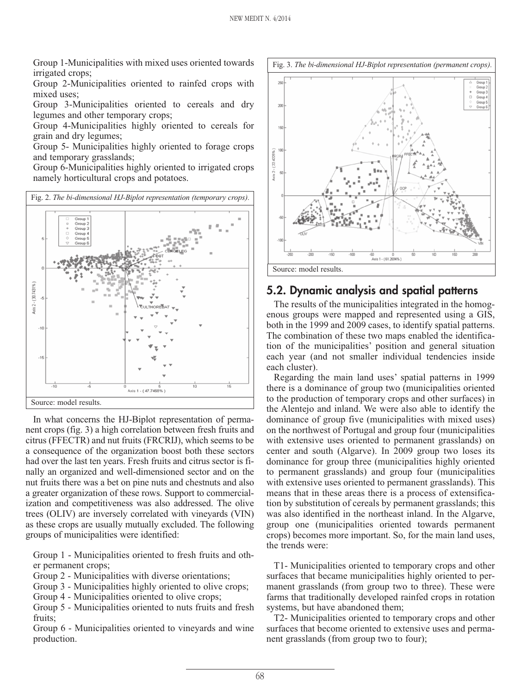Group 1-Municipalities with mixed uses oriented towards irrigated crops;

Group 2-Municipalities oriented to rainfed crops with mixed uses;

Group 3-Municipalities oriented to cereals and dry legumes and other temporary crops;

Group 4-Municipalities highly oriented to cereals for grain and dry legumes;

Group 5- Municipalities highly oriented to forage crops and temporary grasslands;

Group 6-Municipalities highly oriented to irrigated crops namely horticultural crops and potatoes.



In what concerns the HJ-Biplot representation of permanent crops (fig. 3) a high correlation between fresh fruits and citrus (FFECTR) and nut fruits (FRCRIJ), which seems to be a consequence of the organization boost both these sectors had over the last ten years. Fresh fruits and citrus sector is finally an organized and well-dimensioned sector and on the nut fruits there was a bet on pine nuts and chestnuts and also a greater organization of these rows. Support to commercialization and competitiveness was also addressed. The olive trees (OLIV) are inversely correlated with vineyards (VIN) as these crops are usually mutually excluded. The following groups of municipalities were identified:

Group 1 - Municipalities oriented to fresh fruits and other permanent crops;

Group 2 - Municipalities with diverse orientations;

Group 3 - Municipalities highly oriented to olive crops;

Group 4 - Municipalities oriented to olive crops;

Group 5 - Municipalities oriented to nuts fruits and fresh fruits;

Group 6 - Municipalities oriented to vineyards and wine production.



#### **5.2. Dynamic analysis and spatial patterns**

The results of the municipalities integrated in the homogenous groups were mapped and represented using a GIS, both in the 1999 and 2009 cases, to identify spatial patterns. The combination of these two maps enabled the identification of the municipalities' position and general situation each year (and not smaller individual tendencies inside each cluster).

Regarding the main land uses' spatial patterns in 1999 there is a dominance of group two (municipalities oriented to the production of temporary crops and other surfaces) in the Alentejo and inland. We were also able to identify the dominance of group five (municipalities with mixed uses) on the northwest of Portugal and group four (municipalities with extensive uses oriented to permanent grasslands) on center and south (Algarve). In 2009 group two loses its dominance for group three (municipalities highly oriented to permanent grasslands) and group four (municipalities with extensive uses oriented to permanent grasslands). This means that in these areas there is a process of extensification by substitution of cereals by permanent grasslands; this was also identified in the northeast inland. In the Algarve, group one (municipalities oriented towards permanent crops) becomes more important. So, for the main land uses, the trends were:

T1- Municipalities oriented to temporary crops and other surfaces that became municipalities highly oriented to permanent grasslands (from group two to three). These were farms that traditionally developed rainfed crops in rotation systems, but have abandoned them;

T2- Municipalities oriented to temporary crops and other surfaces that become oriented to extensive uses and permanent grasslands (from group two to four);

68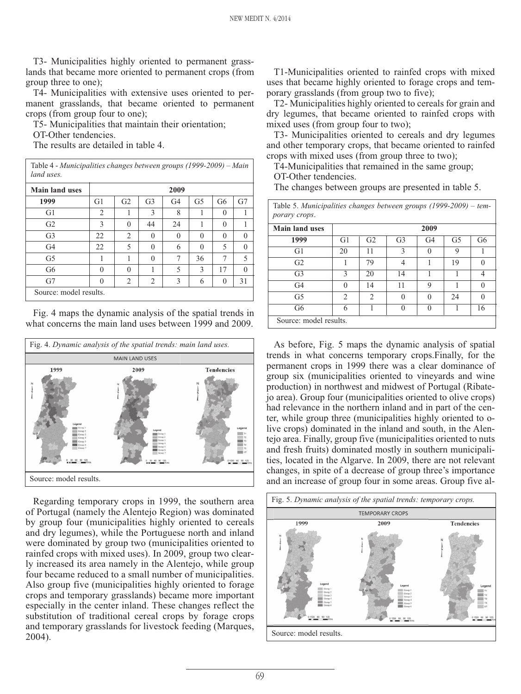T3- Municipalities highly oriented to permanent grasslands that became more oriented to permanent crops (from group three to one);

T4- Municipalities with extensive uses oriented to permanent grasslands, that became oriented to permanent crops (from group four to one);

T5- Municipalities that maintain their orientation;

OT-Other tendencies.

The results are detailed in table 4.

| <b>Main land uses</b> | 2009           |                |                |                |                |                |          |
|-----------------------|----------------|----------------|----------------|----------------|----------------|----------------|----------|
| 1999                  | G <sub>1</sub> | G <sub>2</sub> | G <sub>3</sub> | G <sub>4</sub> | G <sub>5</sub> | G <sub>6</sub> | G7       |
| G <sub>1</sub>        | 2              |                | 3              | 8              | 1              | $\theta$       | 1        |
| G <sub>2</sub>        | 3              | $\theta$       | 44             | 24             | 1              | $\theta$       | 1        |
| G <sub>3</sub>        | 22             | 2              | $\theta$       | $\theta$       | $\theta$       | $\theta$       | $\theta$ |
| G <sub>4</sub>        | 22             | 5              | $\theta$       | 6              | $\theta$       | 5              | $\theta$ |
| G <sub>5</sub>        |                | 1              | $\Omega$       | 7              | 36             | 7              | 5        |
| G6                    | $\Omega$       | $\theta$       | 1              | 5              | 3              | 17             | $\theta$ |
| G7                    | $\Omega$       | 2              | 2              | 3              | 6              | $\theta$       | 31       |

Fig. 4 maps the dynamic analysis of the spatial trends in what concerns the main land uses between 1999 and 2009.



Regarding temporary crops in 1999, the southern area of Portugal (namely the Alentejo Region) was dominated by group four (municipalities highly oriented to cereals and dry legumes), while the Portuguese north and inland were dominated by group two (municipalities oriented to rainfed crops with mixed uses). In 2009, group two clearly increased its area namely in the Alentejo, while group four became reduced to a small number of municipalities. Also group five (municipalities highly oriented to forage crops and temporary grasslands) became more important especially in the center inland. These changes reflect the substitution of traditional cereal crops by forage crops and temporary grasslands for livestock feeding (Marques, 2004).

T1-Municipalities oriented to rainfed crops with mixed uses that became highly oriented to forage crops and temporary grasslands (from group two to five);

T2- Municipalities highly oriented to cereals for grain and dry legumes, that became oriented to rainfed crops with mixed uses (from group four to two);

T3- Municipalities oriented to cereals and dry legumes and other temporary crops, that became oriented to rainfed crops with mixed uses (from group three to two);

T4-Municipalities that remained in the same group; OT-Other tendencies.

The changes between groups are presented in table 5.

| Table 5. Municipalities changes between groups $(1999-2009)$ – tem-<br>porary crops. |               |                               |                |                |                |                |
|--------------------------------------------------------------------------------------|---------------|-------------------------------|----------------|----------------|----------------|----------------|
| <b>Main land uses</b>                                                                | 2009          |                               |                |                |                |                |
| 1999                                                                                 | G1            | G <sub>2</sub>                | G <sub>3</sub> | G <sub>4</sub> | G <sub>5</sub> | G <sub>6</sub> |
| G1                                                                                   | 20            | 11                            | $\mathcal{E}$  | 0              | 9              |                |
| G <sub>2</sub>                                                                       |               | 79                            | 4              |                | 19             | $\Omega$       |
| G <sub>3</sub>                                                                       | 3             | 20                            | 14             |                |                | 4              |
| G <sub>4</sub>                                                                       | 0             | 14                            | 11             | 9              |                | $\Omega$       |
| G <sub>5</sub>                                                                       | $\mathcal{D}$ | $\mathfrak{D}_{\mathfrak{p}}$ | $\Omega$       | $\Omega$       | 24             | $\Omega$       |
| G <sub>6</sub>                                                                       | 6             |                               | $\Omega$       | 0              |                | 16             |
| Source: model results.                                                               |               |                               |                |                |                |                |

As before, Fig. 5 maps the dynamic analysis of spatial trends in what concerns temporary crops.Finally, for the permanent crops in 1999 there was a clear dominance of group six (municipalities oriented to vineyards and wine production) in northwest and midwest of Portugal (Ribatejo area). Group four (municipalities oriented to olive crops) had relevance in the northern inland and in part of the center, while group three (municipalities highly oriented to olive crops) dominated in the inland and south, in the Alentejo area. Finally, group five (municipalities oriented to nuts and fresh fruits) dominated mostly in southern municipalities, located in the Algarve. In 2009, there are not relevant changes, in spite of a decrease of group three's importance and an increase of group four in some areas. Group five al-

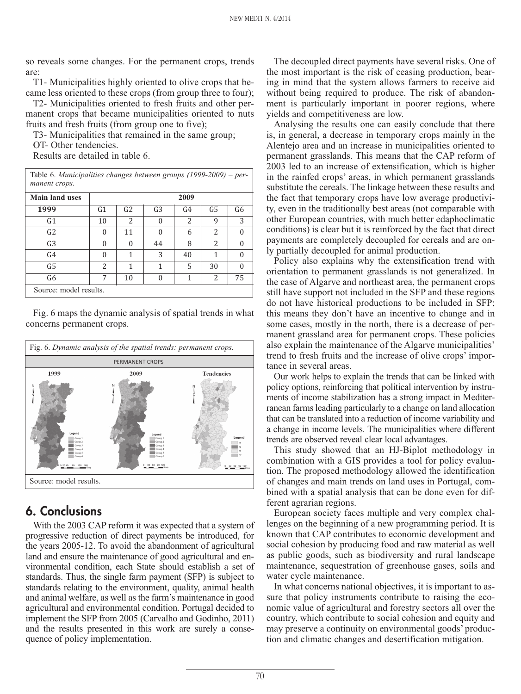so reveals some changes. For the permanent crops, trends are:

T1- Municipalities highly oriented to olive crops that became less oriented to these crops (from group three to four);

T2- Municipalities oriented to fresh fruits and other permanent crops that became municipalities oriented to nuts fruits and fresh fruits (from group one to five);

T3- Municipalities that remained in the same group;

OT- Other tendencies.

Results are detailed in table 6.

| Table 6. Municipalities changes between groups $(1999-2009)$ – per-<br>manent crops. |                          |                |                |                |                |                |
|--------------------------------------------------------------------------------------|--------------------------|----------------|----------------|----------------|----------------|----------------|
| <b>Main land uses</b>                                                                | 2009                     |                |                |                |                |                |
| 1999                                                                                 | G <sub>1</sub>           | G <sub>2</sub> | G <sub>3</sub> | G <sub>4</sub> | G <sub>5</sub> | G <sub>6</sub> |
| G <sub>1</sub>                                                                       | 10                       | $\mathcal{L}$  | $\Omega$       | 2              | 9              | 3              |
| G2                                                                                   | 0                        | 11             | $\theta$       | 6              | 2              | ∩              |
| G <sub>3</sub>                                                                       | 0                        | $\Omega$       | 44             | 8              | 2              | 0              |
| G <sub>4</sub>                                                                       | $\Omega$                 | 1              | 3              | 40             | 1              | $\Omega$       |
| G <sub>5</sub>                                                                       | $\overline{\mathcal{L}}$ | 1              | 1              | 5              | 30             | 0              |
| G <sub>6</sub>                                                                       | 7                        | 10             | $\theta$       | 1              | 2              | 75             |
| Source: model results.                                                               |                          |                |                |                |                |                |

Fig. 6 maps the dynamic analysis of spatial trends in what concerns permanent crops.



# **6. Conclusions**

With the 2003 CAP reform it was expected that a system of progressive reduction of direct payments be introduced, for the years 2005-12. To avoid the abandonment of agricultural land and ensure the maintenance of good agricultural and environmental condition, each State should establish a set of standards. Thus, the single farm payment (SFP) is subject to standards relating to the environment, quality, animal health and animal welfare, as well as the farm's maintenance in good agricultural and environmental condition. Portugal decided to implement the SFP from 2005 (Carvalho and Godinho, 2011) and the results presented in this work are surely a consequence of policy implementation.

The decoupled direct payments have several risks. One of the most important is the risk of ceasing production, bearing in mind that the system allows farmers to receive aid without being required to produce. The risk of abandonment is particularly important in poorer regions, where yields and competitiveness are low.

Analysing the results one can easily conclude that there is, in general, a decrease in temporary crops mainly in the Alentejo area and an increase in municipalities oriented to permanent grasslands. This means that the CAP reform of 2003 led to an increase of extensification, which is higher in the rainfed crops' areas, in which permanent grasslands substitute the cereals. The linkage between these results and the fact that temporary crops have low average productivity, even in the traditionally best areas (not comparable with other European countries, with much better edaphoclimatic conditions) is clear but it is reinforced by the fact that direct payments are completely decoupled for cereals and are only partially decoupled for animal production.

Policy also explains why the extensification trend with orientation to permanent grasslands is not generalized. In the case of Algarve and northeast area, the permanent crops still have support not included in the SFP and these regions do not have historical productions to be included in SFP; this means they don't have an incentive to change and in some cases, mostly in the north, there is a decrease of permanent grassland area for permanent crops. These policies also explain the maintenance of the Algarve municipalities' trend to fresh fruits and the increase of olive crops' importance in several areas.

Our work helps to explain the trends that can be linked with policy options, reinforcing that political intervention by instruments of income stabilization has a strong impact in Mediterranean farms leading particularly to a change on land allocation that can be translated into a reduction of income variability and a change in income levels. The municipalities where different trends are observed reveal clear local advantages.

This study showed that an HJ-Biplot methodology in combination with a GIS provides a tool for policy evaluation. The proposed methodology allowed the identification of changes and main trends on land uses in Portugal, combined with a spatial analysis that can be done even for different agrarian regions.

European society faces multiple and very complex challenges on the beginning of a new programming period. It is known that CAP contributes to economic development and social cohesion by producing food and raw material as well as public goods, such as biodiversity and rural landscape maintenance, sequestration of greenhouse gases, soils and water cycle maintenance.

In what concerns national objectives, it is important to assure that policy instruments contribute to raising the economic value of agricultural and forestry sectors all over the country, which contribute to social cohesion and equity and may preserve a continuity on environmental goods' production and climatic changes and desertification mitigation.